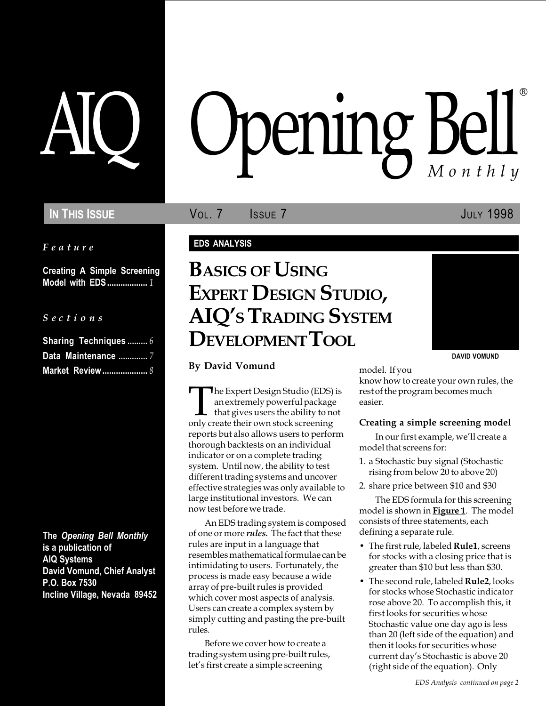### IN THIS ISSUE **VOL. 7** ISSUE 7 **ISSUE** 7

Feature

Creating A Simple Screening Model with EDS.................. 1

### S e c t i o n s

| <b>Sharing Techniques  6</b> |  |
|------------------------------|--|
| Data Maintenance  7          |  |
|                              |  |

The Opening Bell Monthly is a publication of AIQ Systems David Vomund, Chief Analyst P.O. Box 7530 Incline Village, Nevada 89452

# pening Bell ®

### EDS ANALYSIS

## BASICS OF USING EXPERT DESIGN STUDIO, AIQ'S TRADING SYSTEM DEVELOPMENT TOOL



By David Vomund model. If you

The Expert Design Studio (EDS) is<br>an extremely powerful package<br>that gives users the ability to not<br>only create their own stock screening an extremely powerful package that gives users the ability to not only create their own stock screening reports but also allows users to perform thorough backtests on an individual indicator or on a complete trading system. Until now, the ability to test different trading systems and uncover effective strategies was only available to large institutional investors. We can now test before we trade.

An EDS trading system is composed of one or more *rules*. The fact that these rules are input in a language that resembles mathematical formulae can be intimidating to users. Fortunately, the process is made easy because a wide array of pre-built rules is provided which cover most aspects of analysis. Users can create a complex system by simply cutting and pasting the pre-built rules.

Before we cover how to create a trading system using pre-built rules, let's first create a simple screening

know how to create your own rules, the rest of the program becomes much easier.

### Creating a simple screening model

In our first example, we'll create a model that screens for:

- 1. a Stochastic buy signal (Stochastic rising from below 20 to above 20)
- 2. share price between \$10 and \$30

The EDS formula for this screening model is shown in **Figure 1**. The model consists of three statements, each defining a separate rule.

- The first rule, labeled **Rule1**, screens for stocks with a closing price that is greater than \$10 but less than \$30.
- The second rule, labeled **Rule2**, looks for stocks whose Stochastic indicator rose above 20. To accomplish this, it first looks for securities whose Stochastic value one day ago is less than 20 (left side of the equation) and then it looks for securities whose current day's Stochastic is above 20 (right side of the equation). Only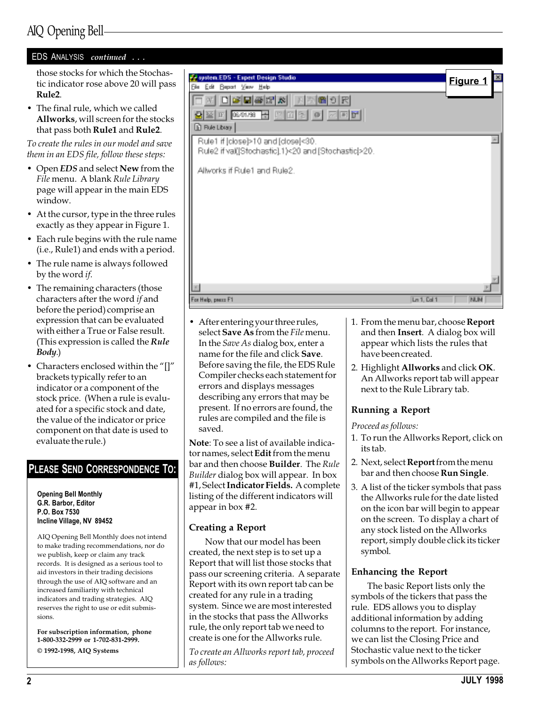### AIQ Opening Bell

| EDS ANALYSIS continued                                                                                                                                                                                              |                                                                                                                                                                       |                           |
|---------------------------------------------------------------------------------------------------------------------------------------------------------------------------------------------------------------------|-----------------------------------------------------------------------------------------------------------------------------------------------------------------------|---------------------------|
| those stocks for which the Stochas-<br>tic indicator rose above 20 will pass<br>Rule <sub>2</sub> .<br>• The final rule, which we called<br>Allworks, will screen for the stocks<br>that pass both Rule1 and Rule2. | system EDS - Expert Design Studio<br>Beport Very Help<br>旧曲<br>Бω<br>미터테죽대체<br>GB 이론<br>공 [1] 이 이 지퍼로.<br>08/01/98<br>$\left  \Gamma \right $<br><b>D</b> Rue Library | Figure 1                  |
| To create the rules in our model and save<br>them in an EDS file, follow these steps:                                                                                                                               | Rule1 if [close]>10 and [close]<30.<br>Rule2 if val([Stochastic].1)<20 and [Stochastic]>20.                                                                           |                           |
| • Open EDS and select New from the<br>File menu. A blank Rule Library<br>page will appear in the main EDS<br>window.                                                                                                | Allworks if Rule1 and Rule2.                                                                                                                                          |                           |
| • At the cursor, type in the three rules<br>exactly as they appear in Figure 1.                                                                                                                                     |                                                                                                                                                                       |                           |
| • Each rule begins with the rule name<br>(i.e., Rule1) and ends with a period.                                                                                                                                      |                                                                                                                                                                       |                           |
| • The rule name is always followed<br>by the word <i>if</i> .                                                                                                                                                       |                                                                                                                                                                       |                           |
| • The remaining characters (those<br>characters after the word if and<br>hoforo the neriod) comprise an                                                                                                             | For Help, peace F1                                                                                                                                                    | Ln 1, Cal 1<br><b>NUM</b> |

 After entering your three rules, select Save As from the File menu. In the Save As dialog box, enter a name for the file and click Save. Before saving the file, the EDS Rule Compiler checks each statement for errors and displays messages describing any errors that may be present. If no errors are found, the rules are compiled and the file is

Note: To see a list of available indicator names, select **Edit** from the menu bar and then choose **Builder**. The Rule Builder dialog box will appear. In box #1, Select Indicator Fields. A complete listing of the different indicators will

- The remaining characters aft before the period) comprise an expression that can be evaluated with either a True or False result. (This expression is called the  $Rule$ Body.)
- Characters enclosed within the "[]" brackets typically refer to an indicator or a component of the stock price. (When a rule is evaluated for a specific stock and date, the value of the indicator or price component on that date is used to evaluate the rule.)

### PLEASE SEND CORRESPONDENCE TO:

#### Opening Bell Monthly G.R. Barbor, Editor P.O. Box 7530 Incline Village, NV 89452

AIQ Opening Bell Monthly does not intend to make trading recommendations, nor do we publish, keep or claim any track records. It is designed as a serious tool to aid investors in their trading decisions through the use of AIQ software and an increased familiarity with technical indicators and trading strategies. AIQ reserves the right to use or edit submissions.

For subscription information, phone 1-800-332-2999 or 1-702-831-2999. © 1992-1998, AIQ Systems

created, the next step is to set up a Report that will list those stocks that pass our screening criteria. A separate

appear in box #2.

Creating a Report

saved.

Report with its own report tab can be created for any rule in a trading system. Since we are most interested in the stocks that pass the Allworks rule, the only report tab we need to create is one for the Allworks rule.

Now that our model has been

To create an Allworks report tab, proceed as follows:

- 1. From the menu bar, choose Report and then Insert. A dialog box will appear which lists the rules that have been created.
- 2. Highlight Allworks and click OK. An Allworks report tab will appear next to the Rule Library tab.

### Running a Report

Proceed as follows:

- 1. To run the Allworks Report, click on its tab.
- 2. Next, select Report from the menu bar and then choose Run Single.
- 3. A list of the ticker symbols that pass the Allworks rule for the date listed on the icon bar will begin to appear on the screen. To display a chart of any stock listed on the Allworks report, simply double click its ticker symbol.

### Enhancing the Report

The basic Report lists only the symbols of the tickers that pass the rule. EDS allows you to display additional information by adding columns to the report. For instance, we can list the Closing Price and Stochastic value next to the ticker symbols on the Allworks Report page.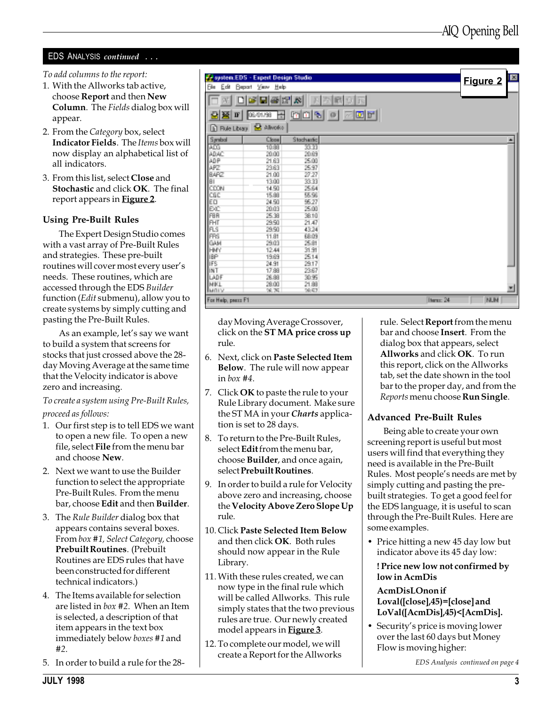### EDS ANALYSIS continued ...

To add columns to the report:

- 1. With the Allworks tab active, choose Report and then New Column. The Fields dialog box will appear.
- 2. From the Category box, select Indicator Fields. The Items box will now display an alphabetical list of all indicators.
- 3. From this list, select Close and Stochastic and click OK. The final report appears in **Figure 2**.

### Using Pre-Built Rules

The Expert Design Studio comes with a vast array of Pre-Built Rules and strategies. These pre-built routines will cover most every user's needs. These routines, which are accessed through the EDS Builder function (Edit submenu), allow you to create systems by simply cutting and pasting the Pre-Built Rules.

As an example, let's say we want to build a system that screens for stocks that just crossed above the 28 day Moving Average at the same time that the Velocity indicator is above zero and increasing.

To create a system using Pre-Built Rules, proceed as follows:

- 1. Our first step is to tell EDS we want to open a new file. To open a new file, select File from the menu bar and choose New.
- 2. Next we want to use the Builder function to select the appropriate Pre-Built Rules. From the menu bar, choose Edit and then Builder.
- 3. The Rule Builder dialog box that appears contains several boxes. From box #1, Select Category, choose Prebuilt Routines. (Prebuilt Routines are EDS rules that have been constructed for different technical indicators.)
- 4. The Items available for selection are listed in box #2. When an Item is selected, a description of that item appears in the text box immediately below boxes #1 and #2.
- 5. In order to build a rule for the 28-

|                              | We system EDS - Expert Design Studio |                | Figure 2                | Ø  |
|------------------------------|--------------------------------------|----------------|-------------------------|----|
| Film<br>旧曲                   | <b>Beport View Help</b>              |                |                         |    |
| œ.                           | 민준다<br>DS.                           | 爲              | Đ.                      |    |
| w<br>$\overline{\mathbf{F}}$ | laeun aa                             | 예이형            | $\bullet$ and $\bullet$ |    |
| <b>In Rue Library</b>        | <b>S</b> Alivoto                     |                |                         |    |
| <b>Symbol</b>                | Close                                | Stocharfic     |                         | æ. |
| prog                         | TORE                                 | <b>SSERI</b>   |                         |    |
| ADAC:                        | 20.00                                | 20.69          |                         |    |
| ADP                          | 21.63                                | 25.00          |                         |    |
| APZ                          | 23.63                                | 25.97          |                         |    |
| BARZ                         | 21.00                                | 27.27          |                         |    |
| iат                          | 13.00                                | 33.99          |                         |    |
| <b>CCON</b>                  | 14.50                                | 25.64          |                         |    |
| CBC                          | 15.88                                | 55.56          |                         |    |
| EΩ                           | 24.90                                | 95.27          |                         |    |
| EXC                          | 20.03                                | 25.00<br>38.10 |                         |    |
| FBR                          | 25.38<br>29.90                       |                |                         |    |
| <b>PHT</b><br><b>PLS</b>     | 29.90                                | 21.47<br>43.24 |                         |    |
| FRS                          | 11.81                                | 68.09          |                         |    |
| GAM                          | 29.03                                | 25.91          |                         |    |
| HMY                          | 12.44                                | 31.91          |                         |    |
| <b>IBP</b>                   | 19.69                                | 25.14          |                         |    |
| IFS.                         | 24.91                                | 29.17          |                         |    |
| <b>INT</b>                   | 17.88                                | 23.67          |                         |    |
| LADF                         | 26.88                                | 30.95          |                         |    |
| MKL                          | 28.00                                | 21.88          |                         |    |
| hanny                        | 90.75                                | 29.57          |                         | m. |
| For Hylp, peace F1           |                                      |                | Berne 24<br><b>NUM</b>  |    |

day Moving Average Crossover, click on the ST MA price cross up rule.

- 6. Next, click on Paste Selected Item Below. The rule will now appear in box #4.
- 7. Click **OK** to paste the rule to your Rule Library document. Make sure the ST MA in your *Charts* application is set to 28 days.
- 8. To return to the Pre-Built Rules, select **Edit** from the menu bar, choose Builder, and once again, select Prebuilt Routines.
- 9. In order to build a rule for Velocity above zero and increasing, choose the Velocity Above Zero Slope Up rule.
- 10. Click Paste Selected Item Below and then click OK. Both rules should now appear in the Rule Library.
- 11.With these rules created, we can now type in the final rule which will be called Allworks. This rule simply states that the two previous rules are true. Our newly created model appears in **Figure 3**.
- 12. To complete our model, we will create a Report for the Allworks

rule. Select Report from the menu bar and choose Insert. From the dialog box that appears, select Allworks and click OK. To run this report, click on the Allworks tab, set the date shown in the tool bar to the proper day, and from the Reports menu choose Run Single.

### Advanced Pre-Built Rules

Being able to create your own screening report is useful but most users will find that everything they need is available in the Pre-Built Rules. Most people's needs are met by simply cutting and pasting the prebuilt strategies. To get a good feel for the EDS language, it is useful to scan through the Pre-Built Rules. Here are some examples.

• Price hitting a new 45 day low but indicator above its 45 day low:

### ! Price new low not confirmed by low in AcmDis

### AcmDisLOnon if Loval([close],45)=[close] and LoVal([AcmDis],45)<[AcmDis].

• Security's price is moving lower over the last 60 days but Money Flow is moving higher:

EDS Analysis continued on page 4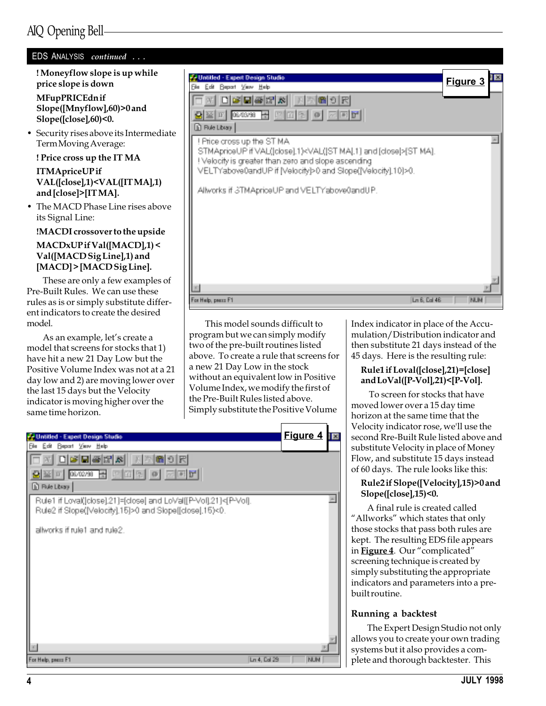### AIQ Opening Bell

| EDS ANALYSIS continued                                                                                                                                    |                                                                                                                                               |            |
|-----------------------------------------------------------------------------------------------------------------------------------------------------------|-----------------------------------------------------------------------------------------------------------------------------------------------|------------|
| ! Moneyflow slope is up while<br>price slope is down                                                                                                      | V Untilled - Expert Design Studio<br><b>Beport View Help</b><br>旧曲。<br>Fы                                                                     | Figure 3   |
| MFupPRICEdnif<br>Slope([Mnyflow],60)>0 and<br>$Slope([close], 60)$ <0.                                                                                    | 미여민족법의<br>個り民<br>08/03/98 圖<br>四面图<br>$\oplus$<br>正                                                                                           |            |
| • Security rises above its Intermediate<br>Term Moving Average:                                                                                           | <b>B</b> Rule Library<br>! Price cross up the ST MA                                                                                           |            |
| ! Price cross up the IT MA                                                                                                                                | STMApriceUP if VAL([close].1) <val([st [close[="" and="" ma].1]="">[ST MA].<br/>! Velocity is greater than zero and slope ascending</val([st> |            |
| <b>ITMApriceUPif</b><br>VAL([close],1) <val([itma],1)<br>and [close]&gt;[IT MA].</val([itma],1)<br>                                                       | VELTYabove0andUP if [Velocity]>0 and Slope([Velocity].10]>0.<br>Allworks if STMApriceUP and VELTYabove0andUP.                                 |            |
| • The MACD Phase Line rises above<br>its Signal Line:                                                                                                     |                                                                                                                                               |            |
| !MACDI crossover to the upside                                                                                                                            |                                                                                                                                               |            |
| $MACDxUP$ if $Val([MACD],1)$ <<br>Val([MACD Sig Line],1) and<br>[MACD] > [MACD Sig Line].                                                                 |                                                                                                                                               |            |
| These are only a few examples of<br>Pre-Built Rules. We can use these<br>rules as is or simply substitute differ-<br>ent indicators to create the desired | Ln 8, Cal 48<br>For Help, peace F1                                                                                                            | <b>NUM</b> |

This model sounds difficult to program but we can simply modify two of the pre-built routines listed above. To create a rule that screens for a new 21 Day Low in the stock without an equivalent low in Positive Volume Index, we modify the first of the Pre-Built Rules listed above. Simply substitute the Positive Volume

| <b>Unlilled - Expert Design Studio</b>                                                                                       | <b>Figure 4</b> |
|------------------------------------------------------------------------------------------------------------------------------|-----------------|
| Edit Beport View Help<br>Film                                                                                                |                 |
| 日曜日  晉昭  8   天  次 <br>圖列民                                                                                                    |                 |
| 꿈 [페이팅] 이 제피러]<br>06/02/98<br>$\mathbb{F}$<br>34.                                                                            |                 |
| <b>In Rue Library</b>                                                                                                        |                 |
| Rule1 if Loval(lobse].21]=[close] and LoVal[[P-Vol].21]<[P-Vol].<br>Rule2 if Stope([Velocity].15]>0 and Stope[[close].15)<0. |                 |
| allworks if rule1 and rule2.                                                                                                 |                 |
|                                                                                                                              |                 |
|                                                                                                                              |                 |
|                                                                                                                              |                 |
|                                                                                                                              |                 |
|                                                                                                                              |                 |
|                                                                                                                              |                 |
|                                                                                                                              |                 |
| Ln 4, Cal 29<br>For Help, peace F1                                                                                           | <b>BUM</b>      |

Index indicator in place of the Accumulation/Distribution indicator and then substitute 21 days instead of the 45 days. Here is the resulting rule:

### Rule1 if Loval([close],21)=[close] and LoVal([P-Vol],21)<[P-Vol].

 To screen for stocks that have moved lower over a 15 day time horizon at the same time that the Velocity indicator rose, we'll use the second Rre-Built Rule listed above and substitute Velocity in place of Money Flow, and substitute 15 days instead of 60 days. The rule looks like this:

### Rule2 if Slope([Velocity],15)>0 and Slope([close],15)<0.

A final rule is created called "Allworks" which states that only those stocks that pass both rules are kept. The resulting EDS file appears in Figure 4. Our "complicated" screening technique is created by simply substituting the appropriate indicators and parameters into a prebuilt routine.

### Running a backtest

The Expert Design Studio not only allows you to create your own trading systems but it also provides a complete and thorough backtester. This

model.

same time horizon.

As an example, let's create a model that screens for stocks that 1) have hit a new 21 Day Low but the Positive Volume Index was not at a 21 day low and 2) are moving lower over the last 15 days but the Velocity indicator is moving higher over the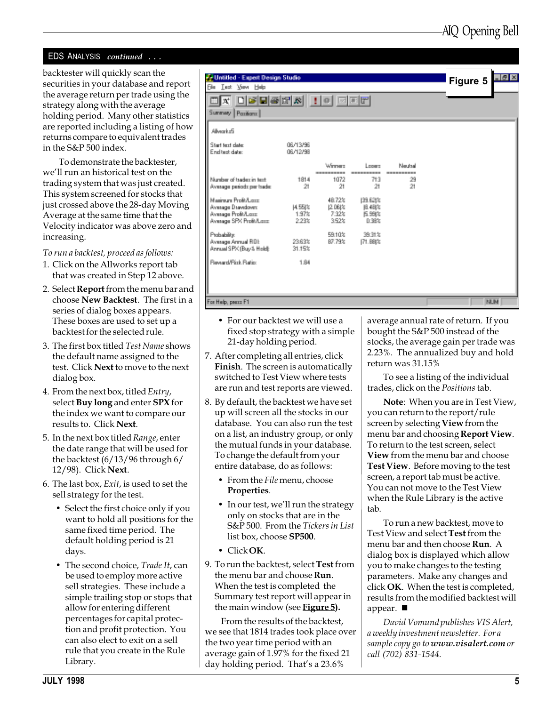### EDS ANALYSIS continued ...

backtester will quickly scan the securities in your database and report the average return per trade using the strategy along with the average holding period. Many other statistics are reported including a listing of how returns compare to equivalent trades in the S&P 500 index.

To demonstrate the backtester, we'll run an historical test on the trading system that was just created. This system screened for stocks that just crossed above the 28-day Moving Average at the same time that the Velocity indicator was above zero and increasing.

To run a backtest, proceed as follows:

- 1. Click on the Allworks report tab that was created in Step 12 above.
- 2. Select Report from the menu bar and choose New Backtest. The first in a series of dialog boxes appears. These boxes are used to set up a backtest for the selected rule.
- 3. The first box titled Test Name shows the default name assigned to the test. Click Next to move to the next dialog box.
- 4. From the next box, titled Entry, select Buy long and enter SPX for the index we want to compare our results to. Click Next.
- 5. In the next box titled Range, enter the date range that will be used for the backtest (6/13/96 through 6/ 12/98). Click Next.
- 6. The last box, Exit, is used to set the sell strategy for the test.
	- Select the first choice only if you want to hold all positions for the same fixed time period. The default holding period is 21 days.
	- The second choice, Trade It, can be used to employ more active sell strategies. These include a simple trailing stop or stops that allow for entering different percentages for capital protection and profit protection. You can also elect to exit on a sell rule that you create in the Rule Library.



- For our backtest we will use a fixed stop strategy with a simple 21-day holding period.
- 7. After completing all entries, click Finish. The screen is automatically switched to Test View where tests are run and test reports are viewed.
- 8. By default, the backtest we have set up will screen all the stocks in our database. You can also run the test on a list, an industry group, or only the mutual funds in your database. To change the default from your entire database, do as follows:
	- From the File menu, choose Properties.
	- In our test, we'll run the strategy only on stocks that are in the S&P 500. From the Tickers in List list box, choose SP500.
	- Click OK.
- 9. To run the backtest, select **Test** from the menu bar and choose **Run**. When the test is completed the Summary test report will appear in the main window (see Figure 5).

From the results of the backtest, we see that 1814 trades took place over the two year time period with an average gain of 1.97% for the fixed 21 day holding period. That's a 23.6%

average annual rate of return. If you bought the S&P 500 instead of the stocks, the average gain per trade was 2.23%. The annualized buy and hold return was 31.15%

To see a listing of the individual trades, click on the Positions tab.

Note: When you are in Test View, you can return to the report/rule screen by selecting View from the menu bar and choosing Report View. To return to the test screen, select View from the menu bar and choose Test View. Before moving to the test screen, a report tab must be active. You can not move to the Test View when the Rule Library is the active tab.

To run a new backtest, move to Test View and select Test from the menu bar and then choose Run. A dialog box is displayed which allow you to make changes to the testing parameters. Make any changes and click OK. When the test is completed, results from the modified backtest will appear.  $\blacksquare$ 

David Vomund publishes VIS Alert, a weekly investment newsletter. For a sample copy go to www.visalert.com or call (702) 831-1544.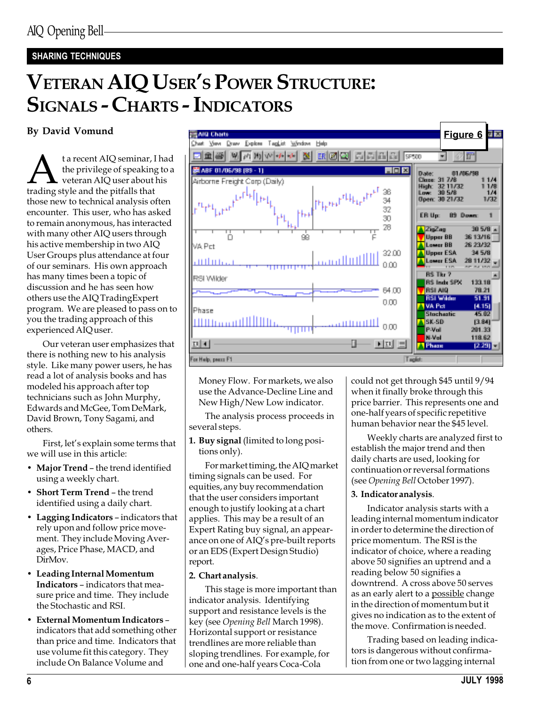### SHARING TECHNIQUES

# VETERAN AIQ USER'S POWER STRUCTURE: SIGNALS - CHARTS - INDICATORS

**A** the privilege of speaking to a veteran AIQ user about his trading style and the pitfalls that the privilege of speaking to a veteran AIQ user about his those new to technical analysis often encounter. This user, who has asked to remain anonymous, has interacted with many other AIQ users through his active membership in two AIQ User Groups plus attendance at four of our seminars. His own approach has many times been a topic of discussion and he has seen how others use the AIQ TradingExpert program. We are pleased to pass on to you the trading approach of this experienced AIQ user.

Our veteran user emphasizes that there is nothing new to his analysis style. Like many power users, he has read a lot of analysis books and has modeled his approach after top technicians such as John Murphy, Edwards and McGee, Tom DeMark, David Brown, Tony Sagami, and others.

First, let's explain some terms that we will use in this article:

- Major Trend the trend identified using a weekly chart.
- Short Term Trend the trend identified using a daily chart.
- $\bullet$  Lagging Indicators indicators that rely upon and follow price movement. They include Moving Averages, Price Phase, MACD, and DirMov.
- Leading Internal Momentum Indicators - indicators that measure price and time. They include the Stochastic and RSI.
- External Momentum Indicators indicators that add something other than price and time. Indicators that use volume fit this category. They include On Balance Volume and



Money Flow. For markets, we also use the Advance-Decline Line and New High/New Low indicator.

The analysis process proceeds in several steps.

1. Buy signal (limited to long positions only).

For market timing, the AIQ market timing signals can be used. For equities, any buy recommendation that the user considers important enough to justify looking at a chart applies. This may be a result of an Expert Rating buy signal, an appearance on one of AIQ's pre-built reports or an EDS (Expert Design Studio) report.

### 2. Chart analysis.

This stage is more important than indicator analysis. Identifying support and resistance levels is the key (see Opening Bell March 1998). Horizontal support or resistance trendlines are more reliable than sloping trendlines. For example, for one and one-half years Coca-Cola

could not get through \$45 until 9/94 when it finally broke through this price barrier. This represents one and one-half years of specific repetitive human behavior near the \$45 level.

Weekly charts are analyzed first to establish the major trend and then daily charts are used, looking for continuation or reversal formations (see Opening Bell October 1997).

### 3. Indicator analysis.

Indicator analysis starts with a leading internal momentum indicator in order to determine the direction of price momentum. The RSI is the indicator of choice, where a reading above 50 signifies an uptrend and a reading below 50 signifies a downtrend. A cross above 50 serves as an early alert to a possible change in the direction of momentum but it gives no indication as to the extent of the move. Confirmation is needed.

Trading based on leading indicators is dangerous without confirmation from one or two lagging internal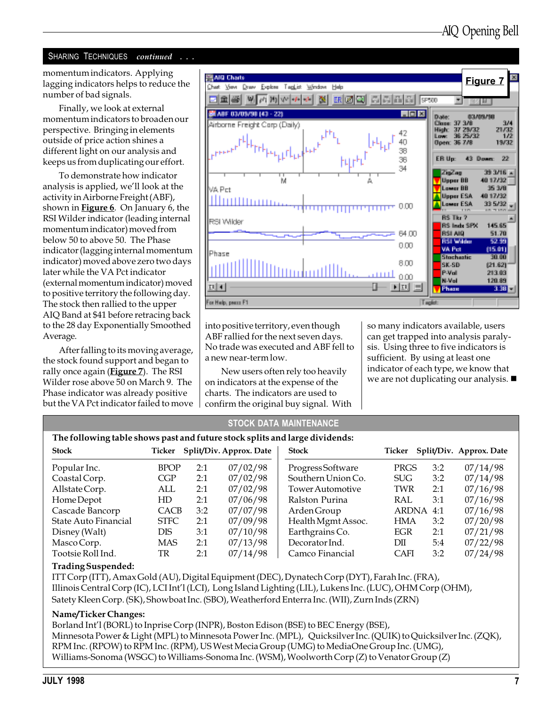### SHARING TECHNIQUES continued . . .

lagging indicators helps to reduce the number of bad signals.

Finally, we look at external momentum indicators to broaden our perspective. Bringing in elements outside of price action shines a different light on our analysis and keeps us from duplicating our effort.

To demonstrate how indicator analysis is applied, we'll look at the activity in Airborne Freight (ABF), shown in **Figure 6**. On January  $6$ , the RSI Wilder indicator (leading internal momentum indicator) moved from below 50 to above 50. The Phase indicator (lagging internal momentum indicator) moved above zero two days later while the VA Pct indicator (external momentum indicator) moved to positive territory the following day. The stock then rallied to the upper AIQ Band at \$41 before retracing back to the 28 day Exponentially Smoothed Average.

After falling to its moving average, the stock found support and began to rally once again (**Figure 7**). The RSI Wilder rose above 50 on March 9. The Phase indicator was already positive but the VA Pct indicator failed to move



into positive territory, even though ABF rallied for the next seven days. No trade was executed and ABF fell to a new near-term low.

New users often rely too heavily on indicators at the expense of the charts. The indicators are used to confirm the original buy signal. With so many indicators available, users can get trapped into analysis paralysis. Using three to five indicators is sufficient. By using at least one indicator of each type, we know that we are not duplicating our analysis.  $\blacksquare$ 

| <b>STOCK DATA MAINTENANCE</b>                                               |             |     |                                |                         |             |     |                         |
|-----------------------------------------------------------------------------|-------------|-----|--------------------------------|-------------------------|-------------|-----|-------------------------|
| The following table shows past and future stock splits and large dividends: |             |     |                                |                         |             |     |                         |
| <b>Stock</b>                                                                |             |     | Ticker Split/Div. Approx. Date | <b>Stock</b>            | Ticker      |     | Split/Div. Approx. Date |
| Popular Inc.                                                                | <b>BPOP</b> | 2:1 | 07/02/98                       | <b>ProgressSoftware</b> | PRGS        | 3:2 | 07/14/98                |
| Coastal Corp.                                                               | CGP         | 2:1 | 07/02/98                       | Southern Union Co.      | <b>SUG</b>  | 3:2 | 07/14/98                |
| Allstate Corp.                                                              | ALL         | 2:1 | 07/02/98                       | <b>Tower Automotive</b> | <b>TWR</b>  | 2:1 | 07/16/98                |
| Home Depot                                                                  | HD          | 2:1 | 07/06/98                       | Ralston Purina          | RAL         | 3:1 | 07/16/98                |
| Cascade Bancorp                                                             | <b>CACB</b> | 3:2 | 07/07/98                       | Arden Group             | ARDNA       | 4:1 | 07/16/98                |
| State Auto Financial                                                        | <b>STFC</b> | 2:1 | 07/09/98                       | Health Mgmt Assoc.      | <b>HMA</b>  | 3:2 | 07/20/98                |
| Disney (Walt)                                                               | <b>DIS</b>  | 3:1 | 07/10/98                       | Earthgrains Co.         | <b>EGR</b>  | 2:1 | 07/21/98                |
| Masco Corp.                                                                 | <b>MAS</b>  | 2:1 | 07/13/98                       | Decorator Ind.          | DП          | 5:4 | 07/22/98                |
| Tootsie Roll Ind.                                                           | TR          | 2:1 | 07/14/98                       | Camco Financial         | <b>CAFI</b> | 3:2 | 07/24/98                |
|                                                                             |             |     |                                |                         |             |     |                         |

#### Trading Suspended:

ITT Corp (ITT), Amax Gold (AU), Digital Equipment (DEC), Dynatech Corp (DYT), Farah Inc. (FRA), Illinois Central Corp (IC), LCI Int'l (LCI), Long Island Lighting (LIL), Lukens Inc. (LUC), OHM Corp (OHM), Satety Kleen Corp. (SK), Showboat Inc. (SBO), Weatherford Enterra Inc. (WII), Zurn Inds (ZRN)

#### Name/Ticker Changes:

Borland Intl (BORL) to Inprise Corp (INPR), Boston Edison (BSE) to BEC Energy (BSE), Minnesota Power & Light (MPL) to Minnesota Power Inc. (MPL), Quicksilver Inc. (QUIK) to Quicksilver Inc. (ZQK), RPM Inc. (RPOW) to RPM Inc. (RPM), US West Mecia Group (UMG) to MediaOne Group Inc. (UMG), Williams-Sonoma (WSGC) to Williams-Sonoma Inc. (WSM), Woolworth Corp (Z) to Venator Group (Z)